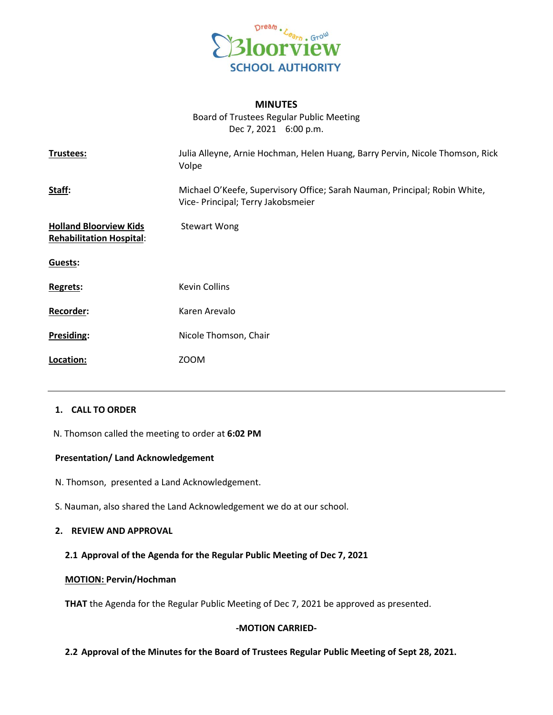

#### **MINUTES**

Board of Trustees Regular Public Meeting Dec 7, 2021 6:00 p.m.

| Trustees:                                                        | Julia Alleyne, Arnie Hochman, Helen Huang, Barry Pervin, Nicole Thomson, Rick<br>Volpe                           |
|------------------------------------------------------------------|------------------------------------------------------------------------------------------------------------------|
| Staff:                                                           | Michael O'Keefe, Supervisory Office; Sarah Nauman, Principal; Robin White,<br>Vice- Principal; Terry Jakobsmeier |
| <b>Holland Bloorview Kids</b><br><b>Rehabilitation Hospital:</b> | <b>Stewart Wong</b>                                                                                              |
| Guests:                                                          |                                                                                                                  |
| Regrets:                                                         | <b>Kevin Collins</b>                                                                                             |
| Recorder:                                                        | Karen Arevalo                                                                                                    |
| Presiding:                                                       | Nicole Thomson, Chair                                                                                            |
| Location:                                                        | <b>ZOOM</b>                                                                                                      |
|                                                                  |                                                                                                                  |

### **1. CALL TO ORDER**

N. Thomson called the meeting to order at **6:02 PM**

### **Presentation/ Land Acknowledgement**

- N. Thomson, presented a Land Acknowledgement.
- S. Nauman, also shared the Land Acknowledgement we do at our school.

## **2. REVIEW AND APPROVAL**

### **2.1 Approval of the Agenda for the Regular Public Meeting of Dec 7, 2021**

#### **MOTION: Pervin/Hochman**

**THAT** the Agenda for the Regular Public Meeting of Dec 7, 2021 be approved as presented.

### **-MOTION CARRIED-**

## **2.2 Approval of the Minutes for the Board of Trustees Regular Public Meeting of Sept 28, 2021.**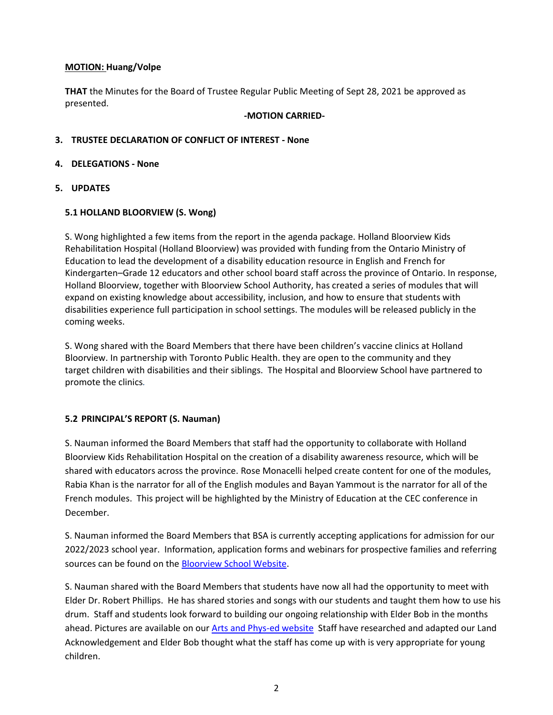### **MOTION: Huang/Volpe**

**THAT** the Minutes for the Board of Trustee Regular Public Meeting of Sept 28, 2021 be approved as presented.

### **-MOTION CARRIED-**

### **3. TRUSTEE DECLARATION OF CONFLICT OF INTEREST - None**

### **4. DELEGATIONS - None**

**5. UPDATES**

## **5.1 HOLLAND BLOORVIEW (S. Wong)**

S. Wong highlighted a few items from the report in the agenda package. Holland Bloorview Kids Rehabilitation Hospital (Holland Bloorview) was provided with funding from the Ontario Ministry of Education to lead the development of a disability education resource in English and French for Kindergarten–Grade 12 educators and other school board staff across the province of Ontario. In response, Holland Bloorview, together with Bloorview School Authority, has created a series of modules that will expand on existing knowledge about accessibility, inclusion, and how to ensure that students with disabilities experience full participation in school settings. The modules will be released publicly in the coming weeks.

S. Wong shared with the Board Members that there have been children's vaccine clinics at Holland Bloorview. In partnership with Toronto Public Health. they are open to the community and they target children with disabilities and their siblings. The Hospital and Bloorview School have partnered to promote the clinics*.*

# **5.2 PRINCIPAL'S REPORT (S. Nauman)**

S. Nauman informed the Board Members that staff had the opportunity to collaborate with Holland Bloorview Kids Rehabilitation Hospital on the creation of a disability awareness resource, which will be shared with educators across the province. Rose Monacelli helped create content for one of the modules, Rabia Khan is the narrator for all of the English modules and Bayan Yammout is the narrator for all of the French modules. This project will be highlighted by the Ministry of Education at the CEC conference in December.

S. Nauman informed the Board Members that BSA is currently accepting applications for admission for our 2022/2023 school year. Information, application forms and webinars for prospective families and referring sources can be found on the [Bloorview School Website.](https://bloorviewschool.ca/admissions)

S. Nauman shared with the Board Members that students have now all had the opportunity to meet with Elder Dr. Robert Phillips. He has shared stories and songs with our students and taught them how to use his drum. Staff and students look forward to building our ongoing relationship with Elder Bob in the months ahead. Pictures are available on ou[r Arts and Phys-ed website](https://sites.google.com/bloorviewschool.ca/theartsandphysedbloorview20212/home) Staff have researched and adapted our Land Acknowledgement and Elder Bob thought what the staff has come up with is very appropriate for young children.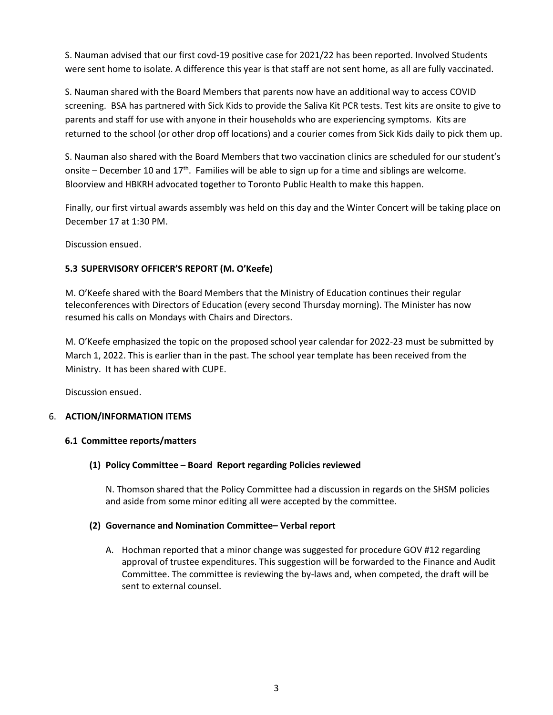S. Nauman advised that our first covd-19 positive case for 2021/22 has been reported. Involved Students were sent home to isolate. A difference this year is that staff are not sent home, as all are fully vaccinated.

S. Nauman shared with the Board Members that parents now have an additional way to access COVID screening. BSA has partnered with Sick Kids to provide the Saliva Kit PCR tests. Test kits are onsite to give to parents and staff for use with anyone in their households who are experiencing symptoms. Kits are returned to the school (or other drop off locations) and a courier comes from Sick Kids daily to pick them up.

S. Nauman also shared with the Board Members that two vaccination clinics are scheduled for our student's onsite – December 10 and  $17<sup>th</sup>$ . Families will be able to sign up for a time and siblings are welcome. Bloorview and HBKRH advocated together to Toronto Public Health to make this happen.

Finally, our first virtual awards assembly was held on this day and the Winter Concert will be taking place on December 17 at 1:30 PM.

Discussion ensued.

# **5.3 SUPERVISORY OFFICER'S REPORT (M. O'Keefe)**

M. O'Keefe shared with the Board Members that the Ministry of Education continues their regular teleconferences with Directors of Education (every second Thursday morning). The Minister has now resumed his calls on Mondays with Chairs and Directors.

M. O'Keefe emphasized the topic on the proposed school year calendar for 2022-23 must be submitted by March 1, 2022. This is earlier than in the past. The school year template has been received from the Ministry. It has been shared with CUPE.

Discussion ensued.

# 6. **ACTION/INFORMATION ITEMS**

# **6.1 Committee reports/matters**

# **(1) Policy Committee – Board Report regarding Policies reviewed**

N. Thomson shared that the Policy Committee had a discussion in regards on the SHSM policies and aside from some minor editing all were accepted by the committee.

# **(2) Governance and Nomination Committee– Verbal report**

A. Hochman reported that a minor change was suggested for procedure GOV #12 regarding approval of trustee expenditures. This suggestion will be forwarded to the Finance and Audit Committee. The committee is reviewing the by-laws and, when competed, the draft will be sent to external counsel.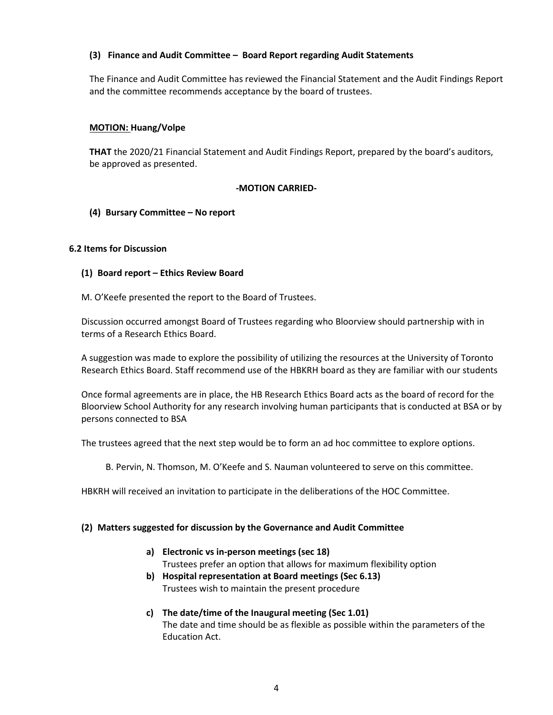## **(3) Finance and Audit Committee – Board Report regarding Audit Statements**

The Finance and Audit Committee has reviewed the Financial Statement and the Audit Findings Report and the committee recommends acceptance by the board of trustees.

### **MOTION: Huang/Volpe**

**THAT** the 2020/21 Financial Statement and Audit Findings Report, prepared by the board's auditors, be approved as presented.

### **-MOTION CARRIED-**

### **(4) Bursary Committee – No report**

### **6.2 Items for Discussion**

- **(1) Board report – Ethics Review Board**
- M. O'Keefe presented the report to the Board of Trustees.

Discussion occurred amongst Board of Trustees regarding who Bloorview should partnership with in terms of a Research Ethics Board.

A suggestion was made to explore the possibility of utilizing the resources at the University of Toronto Research Ethics Board. Staff recommend use of the HBKRH board as they are familiar with our students

Once formal agreements are in place, the HB Research Ethics Board acts as the board of record for the Bloorview School Authority for any research involving human participants that is conducted at BSA or by persons connected to BSA

The trustees agreed that the next step would be to form an ad hoc committee to explore options.

B. Pervin, N. Thomson, M. O'Keefe and S. Nauman volunteered to serve on this committee.

HBKRH will received an invitation to participate in the deliberations of the HOC Committee.

#### **(2) Matters suggested for discussion by the Governance and Audit Committee**

- **a) Electronic vs in-person meetings (sec 18)** Trustees prefer an option that allows for maximum flexibility option
- **b) Hospital representation at Board meetings (Sec 6.13)** Trustees wish to maintain the present procedure
- **c) The date/time of the Inaugural meeting (Sec 1.01)** The date and time should be as flexible as possible within the parameters of the Education Act.